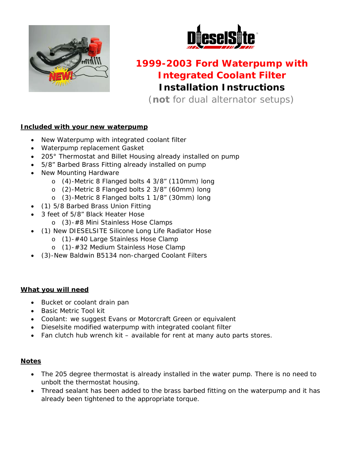



# **1999-2003 Ford Waterpump with Integrated Coolant Filter Installation Instructions**

(*not* for dual alternator setups)

### **Included with your new waterpump**

- New Waterpump with integrated coolant filter
- Waterpump replacement Gasket
- 205° Thermostat and Billet Housing already installed on pump
- 5/8" Barbed Brass Fitting already installed on pump
- New Mounting Hardware
	- o (4)-Metric 8 Flanged bolts 4 3/8" (110mm) long
	- o (2)-Metric 8 Flanged bolts 2 3/8" (60mm) long
	- o (3)-Metric 8 Flanged bolts 1 1/8" (30mm) long
	- (1) 5/8 Barbed Brass Union Fitting
- 3 feet of 5/8" Black Heater Hose
	- o (3)-#8 Mini Stainless Hose Clamps
- (1) New DIESELSITE Silicone Long Life Radiator Hose
	- o (1)-#40 Large Stainless Hose Clamp
	- o (1)-#32 Medium Stainless Hose Clamp
- (3)-New Baldwin B5134 non-charged Coolant Filters

#### **What you will need**

- Bucket or coolant drain pan
- Basic Metric Tool kit
- Coolant: we suggest Evans or Motorcraft Green or equivalent
- Dieselsite modified waterpump with integrated coolant filter
- Fan clutch hub wrench kit available for rent at many auto parts stores.

#### **Notes**

- The 205 degree thermostat is already installed in the water pump. There is no need to unbolt the thermostat housing.
- Thread sealant has been added to the brass barbed fitting on the waterpump and it has already been tightened to the appropriate torque.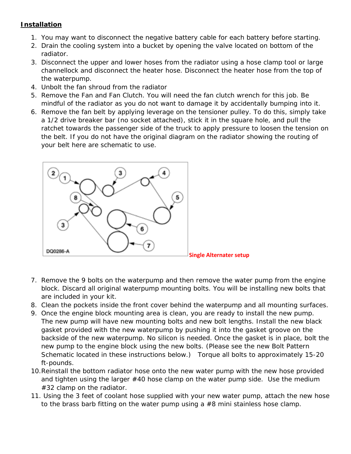## **Installation**

- 1. You may want to disconnect the negative battery cable for each battery before starting.
- 2. Drain the cooling system into a bucket by opening the valve located on bottom of the radiator.
- 3. Disconnect the upper and lower hoses from the radiator using a hose clamp tool or large channellock and disconnect the heater hose. Disconnect the heater hose from the top of the waterpump.
- 4. Unbolt the fan shroud from the radiator
- 5. Remove the Fan and Fan Clutch. You will need the fan clutch wrench for this job. Be mindful of the radiator as you do not want to damage it by accidentally bumping into it.
- 6. Remove the fan belt by applying leverage on the tensioner pulley. To do this, simply take a 1/2 drive breaker bar (no socket attached), stick it in the square hole, and pull the ratchet towards the passenger side of the truck to apply pressure to loosen the tension on the belt. If you do not have the original diagram on the radiator showing the routing of your belt here are schematic to use.



- 7. Remove the 9 bolts on the waterpump and then remove the water pump from the engine block. Discard all original waterpump mounting bolts. You will be installing new bolts that are included in your kit.
- 8. Clean the pockets inside the front cover behind the waterpump and all mounting surfaces.
- 9. Once the engine block mounting area is clean, you are ready to install the new pump. The new pump will have new mounting bolts and new bolt lengths. Install the new black gasket provided with the new waterpump by pushing it into the gasket groove on the backside of the new waterpump. No silicon is needed. Once the gasket is in place, bolt the new pump to the engine block using the new bolts. *(Please see the new Bolt Pattern Schematic located in these instructions below.)* Torque all bolts to approximately 15-20 ft-pounds.
- 10.Reinstall the bottom radiator hose onto the new water pump with the new hose provided and tighten using the larger #40 hose clamp on the water pump side. Use the medium #32 clamp on the radiator.
- 11. Using the 3 feet of coolant hose supplied with your new water pump, attach the new hose to the brass barb fitting on the water pump using a #8 mini stainless hose clamp.